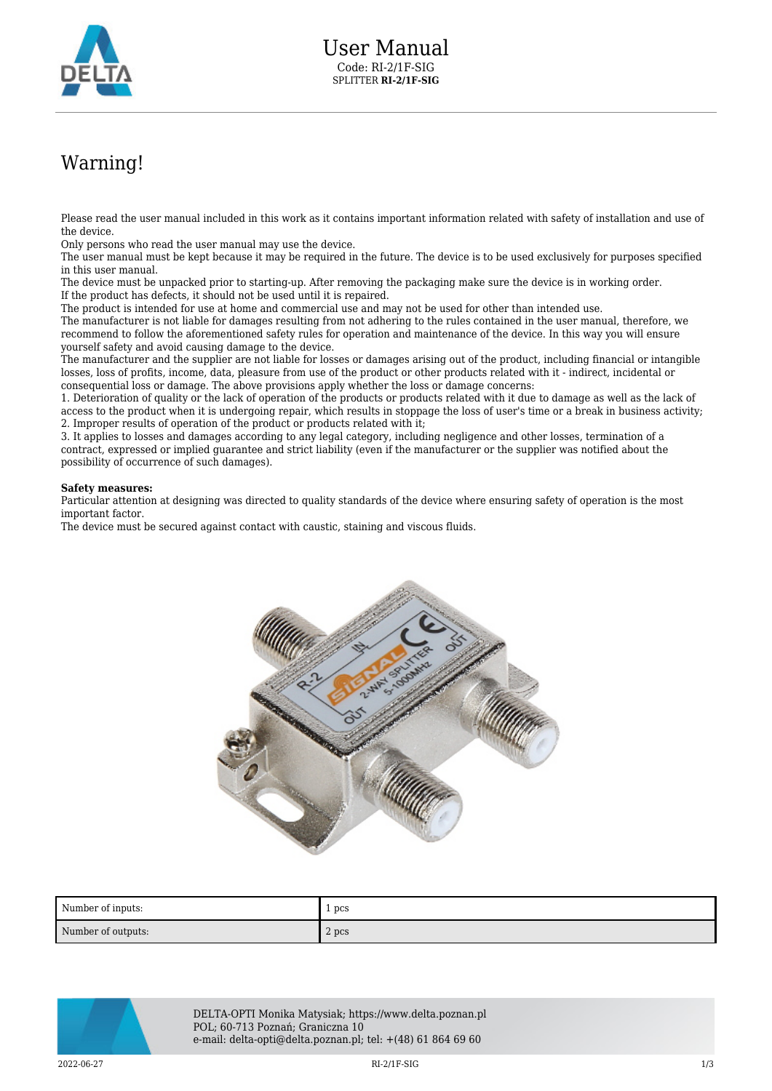

## Warning!

Please read the user manual included in this work as it contains important information related with safety of installation and use of the device.

Only persons who read the user manual may use the device.

The user manual must be kept because it may be required in the future. The device is to be used exclusively for purposes specified in this user manual.

The device must be unpacked prior to starting-up. After removing the packaging make sure the device is in working order. If the product has defects, it should not be used until it is repaired.

The product is intended for use at home and commercial use and may not be used for other than intended use.

The manufacturer is not liable for damages resulting from not adhering to the rules contained in the user manual, therefore, we recommend to follow the aforementioned safety rules for operation and maintenance of the device. In this way you will ensure yourself safety and avoid causing damage to the device.

The manufacturer and the supplier are not liable for losses or damages arising out of the product, including financial or intangible losses, loss of profits, income, data, pleasure from use of the product or other products related with it - indirect, incidental or consequential loss or damage. The above provisions apply whether the loss or damage concerns:

1. Deterioration of quality or the lack of operation of the products or products related with it due to damage as well as the lack of access to the product when it is undergoing repair, which results in stoppage the loss of user's time or a break in business activity; 2. Improper results of operation of the product or products related with it;

3. It applies to losses and damages according to any legal category, including negligence and other losses, termination of a contract, expressed or implied guarantee and strict liability (even if the manufacturer or the supplier was notified about the possibility of occurrence of such damages).

## **Safety measures:**

Particular attention at designing was directed to quality standards of the device where ensuring safety of operation is the most important factor.

The device must be secured against contact with caustic, staining and viscous fluids.



| Number of inputs:  | 1 pcs |
|--------------------|-------|
| Number of outputs: | 2 pcs |



DELTA-OPTI Monika Matysiak; https://www.delta.poznan.pl POL; 60-713 Poznań; Graniczna 10 e-mail: delta-opti@delta.poznan.pl; tel: +(48) 61 864 69 60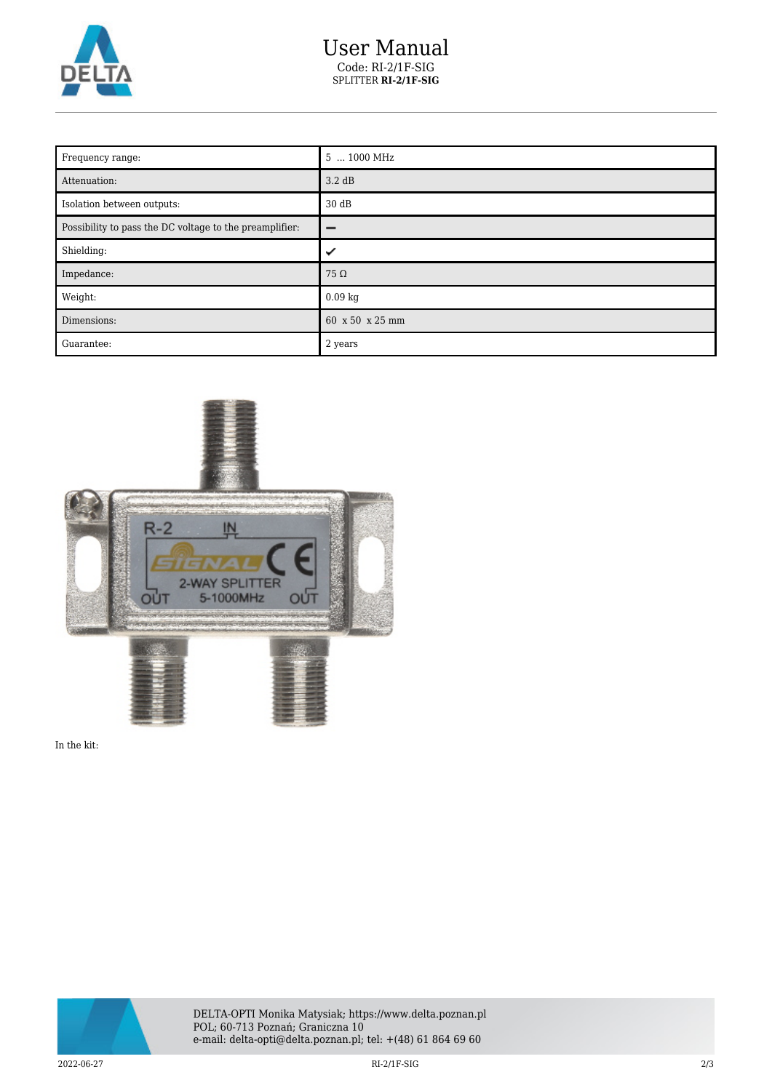

## User Manual Code: RI-2/1F-SIG SPLITTER **RI-2/1F-SIG**

| Frequency range:                                        | 5  1000 MHz     |
|---------------------------------------------------------|-----------------|
| Attenuation:                                            | 3.2 dB          |
| Isolation between outputs:                              | 30dB            |
| Possibility to pass the DC voltage to the preamplifier: | -               |
| Shielding:                                              | ✓               |
| Impedance:                                              | $75\,\Omega$    |
| Weight:                                                 | $0.09$ kg       |
| Dimensions:                                             | 60 x 50 x 25 mm |
| Guarantee:                                              | 2 years         |



In the kit: